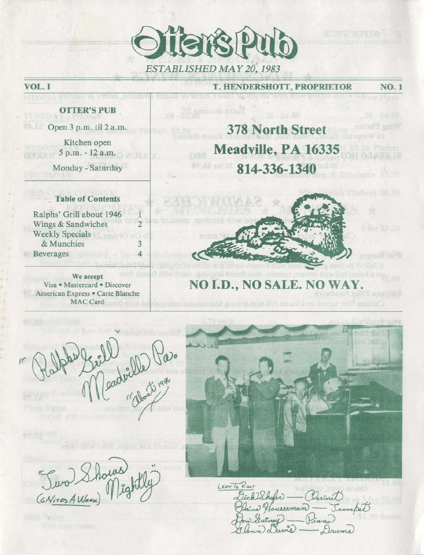

## T. HENDERSHOTT, PROPRIETOR

NO. 1

**OTTER'S PUB** 

change to despot furnit

VOL. I

Open 3 p.m. til 2 a.m.

**Kitchen open**  5 p.m. - 12 a .m.

**Monday - Saturday** 

## . Table of Contents

Ralphs' Grill about 1946 **Wings & Sandwiches 2**  Weekly Specials  $&$  Munchies **Beverages** 4 *Beverages* 

2571 ISS **We accept**  Visa · Mastercard · Discover **American Express. Carte Blanche**  MAC Card

## **378 North Street Meadville, PA 16335 814-336-1340**



## **NO I.D., NO SALE. NO WA**

" rell Cadville Paso

 $LEFTToR: \n *cur*$ Dick Shaker -- (Carinet) Daine Houserman. Trumpet

Turo Shows<br>(GNires AMERA) Mightly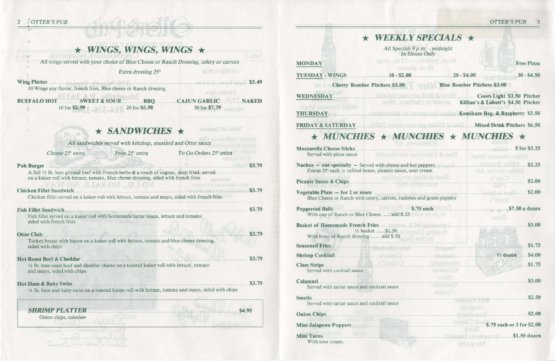|                                                                                                                        |                           | WEEKL                                                                                                    |
|------------------------------------------------------------------------------------------------------------------------|---------------------------|----------------------------------------------------------------------------------------------------------|
|                                                                                                                        |                           |                                                                                                          |
| $\star$ WINGS, WINGS, WINGS $\star$                                                                                    | <b>JOY</b>                | All Specials<br>In F                                                                                     |
| All wings served with your choice of Blue Cheese or Ranch Dressing, celery or carrots                                  |                           | 12 oz. mugs<br><b>MONDAY</b>                                                                             |
| Extra dressing 25°                                                                                                     | <b>BUT &amp; ANTTO</b>    | TUESDAY - WINGS 10 - \$2.00                                                                              |
|                                                                                                                        |                           |                                                                                                          |
| 10 Wings any flavor, french fries, Blue cheese or Ranch dressing                                                       | asgo geriativ             | <b>Cherry Bomber Pitchers \$3.00</b>                                                                     |
| <b>BUFFALO HOT SWEET &amp; SOUR BBQ CAJUN GARLIC NAKED</b>                                                             |                           | WEDNESDAY                                                                                                |
| 10 for \$2.99 20 for \$5.98                                                                                            | 30 for \$7.79             | Miller Genund and Draft<br><b>THURSDAY</b>                                                               |
|                                                                                                                        |                           |                                                                                                          |
| $\star$ SANDWICHES $\star$<br>All sandwiches served with ketchup, mustard and Otter sauce                              | Table of Contoints        | $\star$ MUNCHIES $\star$ MU                                                                              |
| Fries 25 <sup>c</sup> extra<br>Cheese 25° extra                                                                        | To Go Orders 25° extra    | Mozzarella Cheese Sticks<br>Served with pizza sauce                                                      |
| A full 1/3 lb. lean ground beef with French herbs & a touch of cognac, deep fried, served                              |                           | Nachos $-$ our specialty $-$ Served with cheese and<br>Extras 25° each - refried beans, picante sauce, s |
| on a kaiser roll with lettuce, tomato, blue cheese dressing, sided with french fries<br>M. S.JA2 OV, C.LOVI            | Vira e Mazimund v Disoner |                                                                                                          |
| Chicken fillet served on a kaiser roll with lettuce, tomato and mayo, sided with french fries                          |                           | Vegetable Plate - for 2 or more<br>Blue Cheese or Ranch with celery, carrots, radis                      |
| Fish Fillet Sandwich                                                                                                   | \$3.79                    | <b>DIGERET O</b>                                                                                         |
| Fish fillet served on a kaiser roll with homemade tartar sauce, lettuce and tomato,<br>sided with french fries         |                           | With cup of Ranch or Blue Cheese  add \$.25                                                              |
|                                                                                                                        | \$3.79                    | <b>Basket of Homemade French Fries.</b><br>1/2 basket  \$1.50                                            |
| Turkey breast with bacon on a kaiser roll with lettuce, tomato and blue cheese dressing,                               |                           | With bowl of Ranch dressing  add \$.50                                                                   |
| sided with chips                                                                                                       |                           |                                                                                                          |
|                                                                                                                        |                           |                                                                                                          |
| 1/4 lb. lean roast beef and cheddar cheese on a toasted kaiser roll with lettuce, tomato<br>and mayo, sided with chips |                           | <b>Clam Strips</b><br>Served with cocktail sauce                                                         |
|                                                                                                                        |                           |                                                                                                          |
| 1/4 lb. ham and baby swiss on a toasted kaiser roll with lettuce, tomato and mayo, sided with chips                    |                           | Served with tartar sauce and cocktail sauce                                                              |
|                                                                                                                        |                           | Served with tartar sauce and cocktail sauce                                                              |
| <b>SHRIMP PLATTER</b>                                                                                                  | \$4.95                    |                                                                                                          |
| Onion chips, coleslaw                                                                                                  |                           |                                                                                                          |
|                                                                                                                        |                           |                                                                                                          |
| Communistication (2000)                                                                                                |                           | Mini Tacos                                                                                               |
|                                                                                                                        |                           | With sour cream.                                                                                         |

*OTTER'S PUB* 3

|                                                                                                                                                                                                                                      | WEEKLY SPECIALS $\star$                                                                                                       |                    |                                                |                   |
|--------------------------------------------------------------------------------------------------------------------------------------------------------------------------------------------------------------------------------------|-------------------------------------------------------------------------------------------------------------------------------|--------------------|------------------------------------------------|-------------------|
|                                                                                                                                                                                                                                      | All Specials 9 p.m. - midnight<br>In House Only                                                                               |                    |                                                |                   |
| <b>MONDAY</b>                                                                                                                                                                                                                        | 80 oz. pitchers $-12$ oz. mugs<br>10 oz. glasses                                                                              |                    |                                                | <b>Free Pizza</b> |
| <b>TUESDAY - WINGS</b>                                                                                                                                                                                                               | $10 - $2.00$ $30 - $4.00$                                                                                                     |                    |                                                | $30 - $4.50$      |
| <b>Cherry Bomber Pitchers \$3.00 Blue Bomber Pitchers \$3.00</b>                                                                                                                                                                     |                                                                                                                               |                    |                                                |                   |
| WEDNESDAY                                                                                                                                                                                                                            | Coors Light \$3.50 Pitcher                                                                                                    |                    |                                                |                   |
|                                                                                                                                                                                                                                      |                                                                                                                               |                    | <b>Killian's &amp; Labatt's \$4.50 Pitcher</b> |                   |
| <b>NETCL</b> GRUDDELL TO THE                                                                                                                                                                                                         |                                                                                                                               |                    |                                                |                   |
| FRIDAY & SATURDAY Mixed Drink Pitchers \$6.50                                                                                                                                                                                        |                                                                                                                               |                    |                                                |                   |
|                                                                                                                                                                                                                                      |                                                                                                                               |                    |                                                |                   |
| $\star$ MUNCHIES $\star$ MUNCHIES $\star$ MUNCHIES $\star$                                                                                                                                                                           |                                                                                                                               |                    |                                                |                   |
|                                                                                                                                                                                                                                      |                                                                                                                               |                    |                                                |                   |
| Served with pizza sauce                                                                                                                                                                                                              | Tom & Cheryl are not married.                                                                                                 |                    | <b>Miller Genuine Draft</b>                    |                   |
| Nachos - our specialty - Served with cheese and hot peppers<br>Extras 25° each - refried beans, picante sauce, sour cream                                                                                                            |                                                                                                                               |                    | Miller Amber Ale                               | \$2.25            |
|                                                                                                                                                                                                                                      | Shelf & hanan are touter<br>IN THE WELFARE THE TABLES.                                                                        |                    | 2000                                           | \$2.00            |
| Vegetable Plate $-$ for 2 or more<br>Blue Cheese or Ranch with celery, carrots, radishes and green peppers                                                                                                                           |                                                                                                                               |                    | MAG.<br>Stron's                                |                   |
| Pepperoni Balls <b>Samually SECULE SECULE SECULE SECURE SECURE SECURE SECURE SECURE SECURE SECURE SECURE SECURE SECURE SECURE SECURE SECURE SECURE SECURE SECURE SECURE SECURE SECURE SECURE SECURE SECURE SECURE SECURE SECURE </b> |                                                                                                                               |                    |                                                |                   |
| With cup of Ranch or Blue Cheese  add \$.25                                                                                                                                                                                          |                                                                                                                               |                    | <b>SITTL</b>                                   |                   |
|                                                                                                                                                                                                                                      |                                                                                                                               |                    |                                                | \$3.00            |
| With bowl of Ranch dressing  add \$.50                                                                                                                                                                                               | $\frac{1}{2}$ basket  \$1.50                                                                                                  |                    |                                                |                   |
| Seasoned Fries States of the Seasoned Fries States of the States of States of States of States of States of States of States of States of States of States of States of States of States of States of States of States of Stat       |                                                                                                                               |                    |                                                |                   |
| Shrimp Cocktail S4.00                                                                                                                                                                                                                |                                                                                                                               |                    |                                                |                   |
| Clam Strips S1.75                                                                                                                                                                                                                    |                                                                                                                               |                    |                                                |                   |
| Served with cocktail sauce                                                                                                                                                                                                           |                                                                                                                               | Tieineken          |                                                |                   |
|                                                                                                                                                                                                                                      |                                                                                                                               | <b>CONSERVANCE</b> |                                                |                   |
| Calamari<br>S3.00<br>Served with tartar sauce and cocktail sauce                                                                                                                                                                     |                                                                                                                               | <b>Buono</b>       |                                                |                   |
| Smelts.                                                                                                                                                                                                                              | $\frac{1}{2}$ such that is a set of the set of the set of the set of the set of the set of $\frac{1}{2}$ set of $\frac{1}{2}$ |                    |                                                |                   |
| Served with tartar sauce and cocktail sauce                                                                                                                                                                                          |                                                                                                                               | <b>LanisinO</b>    |                                                |                   |
| her big object and                                                                                                                                                                                                                   |                                                                                                                               |                    |                                                |                   |
| Mini-Jalapeno Poppers (1993) 8.75 each or 3 for \$2.00                                                                                                                                                                               |                                                                                                                               |                    |                                                |                   |
|                                                                                                                                                                                                                                      |                                                                                                                               |                    |                                                |                   |
| With sour cream.                                                                                                                                                                                                                     |                                                                                                                               |                    | <b>ATTESTAM</b>                                |                   |